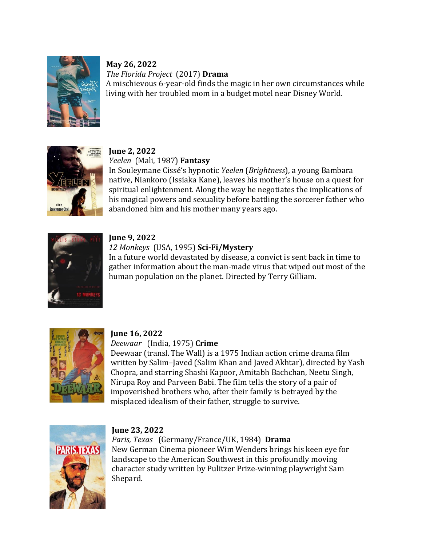

## **May 26, 2022** *The Florida Project* (2017) **Drama**

A mischievous 6-year-old finds the magic in her own circumstances while living with her troubled mom in a budget motel near Disney World.



# **June 2, 2022**

*Yeelen* (Mali, 1987) **Fantasy**

In Souleymane Cissé's hypnotic *Yeelen* (*Brightness*), a young Bambara native, Niankoro (Issiaka Kane), leaves his mother's house on a quest for spiritual enlightenment. Along the way he negotiates the implications of his magical powers and sexuality before battling the sorcerer father who abandoned him and his mother many years ago.



## **June 9, 2022**

## *12 Monkeys* (USA, 1995) **Sci-Fi/Mystery**

In a future world devastated by disease, a convict is sent back in time to gather information about the man-made virus that wiped out most of the human population on the planet. Directed by Terry Gilliam.



## **June 16, 2022**

*Deewaar* (India, 1975) **Crime**

Deewaar (transl. The Wall) is a 1975 Indian action crime drama film written by Salim–Javed (Salim Khan and Javed Akhtar), directed by Yash Chopra, and starring Shashi Kapoor, Amitabh Bachchan, Neetu Singh, Nirupa Roy and Parveen Babi. The film tells the story of a pair of impoverished brothers who, after their family is betrayed by the misplaced idealism of their father, struggle to survive.



## **June 23, 2022**

*Paris, Texas* (Germany/France/UK, 1984) **Drama** New German Cinema pioneer Wim Wenders brings his keen eye for landscape to the American Southwest in this profoundly moving character study written by Pulitzer Prize-winning playwright Sam Shepard.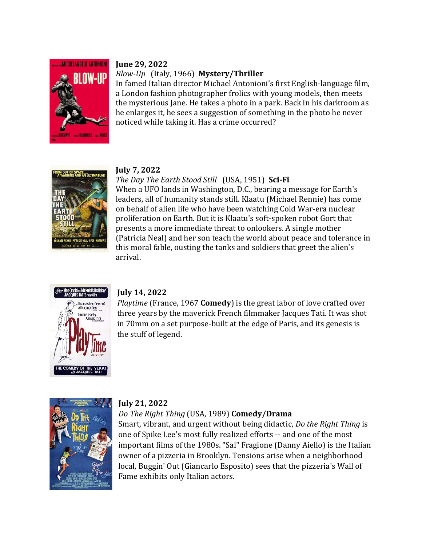

#### **June 29, 2022**

### *Blow-Up*(Italy, 1966) **Mystery/Thriller**

In famed Italian director Michael Antonioni's first English-language film, a London fashion photographer frolics with young models, then meets the mysterious Jane. He takes a photo in a park. Back in his darkroom as he enlarges it, he sees a suggestion of something in the photo he never noticed while taking it. Has a crime occurred?



#### **July 7, 2022**

## *The Day The Earth Stood Still* (USA, 1951) **Sci-Fi**

When a UFO lands in Washington, D.C., bearing a message for Earth's leaders, all of humanity stands still. Klaatu (Michael Rennie) has come on behalf of alien life who have been watching Cold War-era nuclear proliferation on Earth. But it is Klaatu's soft-spoken robot Gort that presents a more immediate threat to onlookers. A single mother (Patricia Neal) and her son teach the world about peace and tolerance in this moral fable, ousting the tanks and soldiers that greet the alien's arrival.



#### **July 14, 2022**

*Playtime* (France, 1967 **Comedy**) is the great labor of love crafted over three years by the maverick French filmmaker Jacques Tati. It was shot in 70mm on a set purpose-built at the edge of Paris, and its genesis is the stuff of legend.



#### **July 21, 2022**

#### *Do The Right Thing* (USA, 1989) **Comedy/Drama**

Smart, vibrant, and urgent without being didactic, *Do the Right Thing* is one of Spike Lee's most fully realized efforts -- and one of the most important films of the 1980s. "Sal" Fragione (Danny Aiello) is the Italian owner of a pizzeria in Brooklyn. Tensions arise when a neighborhood local, Buggin' Out (Giancarlo Esposito) sees that the pizzeria's Wall of Fame exhibits only Italian actors.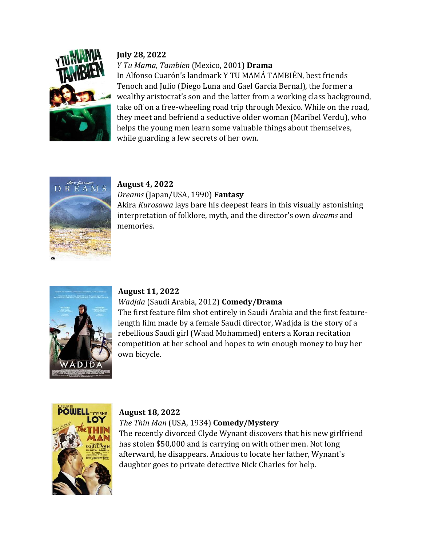

## **July 28, 2022**

## *Y Tu Mama, Tambien* (Mexico, 2001) **Drama**

In Alfonso Cuarón's landmark Y TU MAMÁ TAMBIÉN, best friends Tenoch and Julio (Diego Luna and Gael Garcia Bernal), the former a wealthy aristocrat's son and the latter from a working class background, take off on a free-wheeling road trip through Mexico. While on the road, they meet and befriend a seductive older woman (Maribel Verdu), who helps the young men learn some valuable things about themselves, while guarding a few secrets of her own.



# **August 4, 2022**

*Dreams* (Japan/USA, 1990) **Fantasy** Akira *Kurosawa* lays bare his deepest fears in this visually astonishing interpretation of folklore, myth, and the director's own *dreams* and memories.



### **August 11, 2022**

### *Wadjda* (Saudi Arabia, 2012) **Comedy/Drama**

The first feature film shot entirely in Saudi Arabia and the first featurelength film made by a female Saudi director, Wadjda is the story of a rebellious Saudi girl (Waad Mohammed) enters a Koran recitation competition at her school and hopes to win enough money to buy her own bicycle.



#### **August 18, 2022**

### *The Thin Man* (USA, 1934) **Comedy/Mystery**

The recently divorced Clyde Wynant discovers that his new girlfriend has stolen \$50,000 and is carrying on with other men. Not long afterward, he disappears. Anxious to locate her father, Wynant's daughter goes to private detective Nick Charles for help.